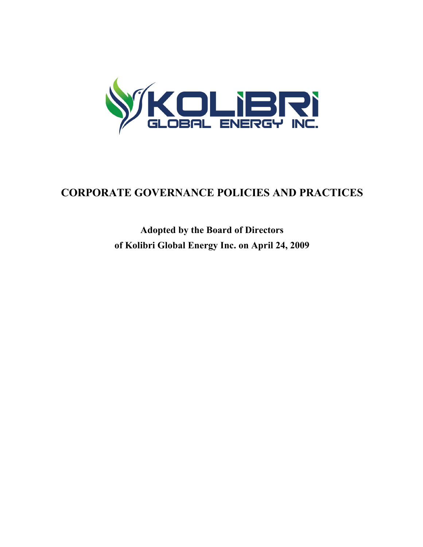

# **CORPORATE GOVERNANCE POLICIES AND PRACTICES**

**Adopted by the Board of Directors of Kolibri Global Energy Inc. on April 24, 2009**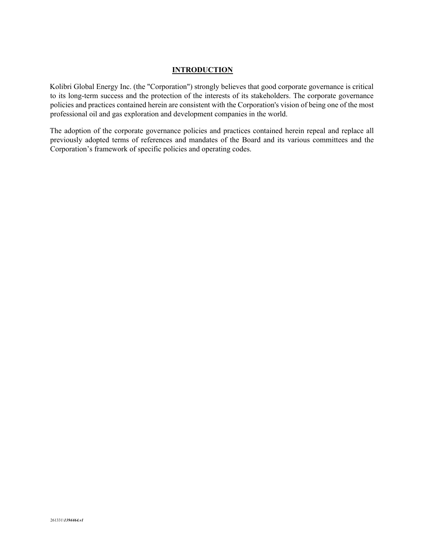## **INTRODUCTION**

Kolibri Global Energy Inc. (the "Corporation") strongly believes that good corporate governance is critical to its long-term success and the protection of the interests of its stakeholders. The corporate governance policies and practices contained herein are consistent with the Corporation's vision of being one of the most professional oil and gas exploration and development companies in the world.

The adoption of the corporate governance policies and practices contained herein repeal and replace all previously adopted terms of references and mandates of the Board and its various committees and the Corporation's framework of specific policies and operating codes.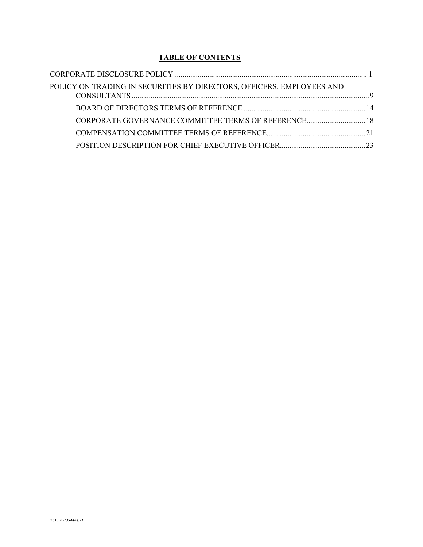# **TABLE OF CONTENTS**

| POLICY ON TRADING IN SECURITIES BY DIRECTORS, OFFICERS, EMPLOYEES AND |  |
|-----------------------------------------------------------------------|--|
|                                                                       |  |
| CORPORATE GOVERNANCE COMMITTEE TERMS OF REFERENCE 18                  |  |
|                                                                       |  |
|                                                                       |  |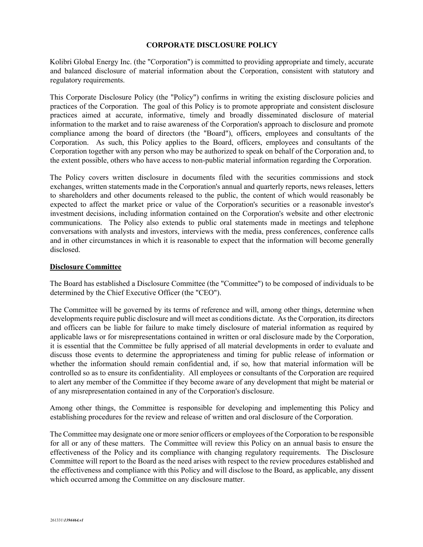## **CORPORATE DISCLOSURE POLICY**

Kolibri Global Energy Inc. (the "Corporation") is committed to providing appropriate and timely, accurate and balanced disclosure of material information about the Corporation, consistent with statutory and regulatory requirements.

This Corporate Disclosure Policy (the "Policy") confirms in writing the existing disclosure policies and practices of the Corporation. The goal of this Policy is to promote appropriate and consistent disclosure practices aimed at accurate, informative, timely and broadly disseminated disclosure of material information to the market and to raise awareness of the Corporation's approach to disclosure and promote compliance among the board of directors (the "Board"), officers, employees and consultants of the Corporation. As such, this Policy applies to the Board, officers, employees and consultants of the Corporation together with any person who may be authorized to speak on behalf of the Corporation and, to the extent possible, others who have access to non-public material information regarding the Corporation.

The Policy covers written disclosure in documents filed with the securities commissions and stock exchanges, written statements made in the Corporation's annual and quarterly reports, news releases, letters to shareholders and other documents released to the public, the content of which would reasonably be expected to affect the market price or value of the Corporation's securities or a reasonable investor's investment decisions, including information contained on the Corporation's website and other electronic communications. The Policy also extends to public oral statements made in meetings and telephone conversations with analysts and investors, interviews with the media, press conferences, conference calls and in other circumstances in which it is reasonable to expect that the information will become generally disclosed.

### **Disclosure Committee**

The Board has established a Disclosure Committee (the "Committee") to be composed of individuals to be determined by the Chief Executive Officer (the "CEO").

The Committee will be governed by its terms of reference and will, among other things, determine when developments require public disclosure and will meet as conditions dictate. As the Corporation, its directors and officers can be liable for failure to make timely disclosure of material information as required by applicable laws or for misrepresentations contained in written or oral disclosure made by the Corporation, it is essential that the Committee be fully apprised of all material developments in order to evaluate and discuss those events to determine the appropriateness and timing for public release of information or whether the information should remain confidential and, if so, how that material information will be controlled so as to ensure its confidentiality. All employees or consultants of the Corporation are required to alert any member of the Committee if they become aware of any development that might be material or of any misrepresentation contained in any of the Corporation's disclosure.

Among other things, the Committee is responsible for developing and implementing this Policy and establishing procedures for the review and release of written and oral disclosure of the Corporation.

The Committee may designate one or more senior officers or employees of the Corporation to be responsible for all or any of these matters. The Committee will review this Policy on an annual basis to ensure the effectiveness of the Policy and its compliance with changing regulatory requirements. The Disclosure Committee will report to the Board as the need arises with respect to the review procedures established and the effectiveness and compliance with this Policy and will disclose to the Board, as applicable, any dissent which occurred among the Committee on any disclosure matter.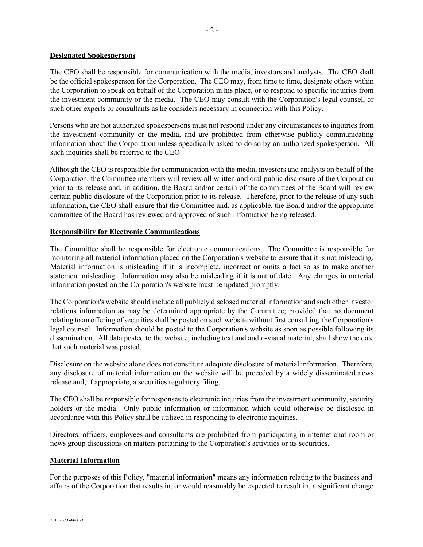## **Designated Spokespersons**

The CEO shall be responsible for communication with the media, investors and analysts. The CEO shall be the official spokesperson for the Corporation. The CEO may, from time to time, designate others within the Corporation to speak on behalf of the Corporation in his place, or to respond to specific inquiries from the investment community or the media. The CEO may consult with the Corporation's legal counsel, or such other experts or consultants as he considers necessary in connection with this Policy.

Persons who are not authorized spokespersons must not respond under any circumstances to inquiries from the investment community or the media, and are prohibited from otherwise publicly communicating information about the Corporation unless specifically asked to do so by an authorized spokesperson. All such inquiries shall be referred to the CEO.

Although the CEO is responsible for communication with the media, investors and analysts on behalf of the Corporation, the Committee members will review all written and oral public disclosure of the Corporation prior to its release and, in addition, the Board and/or certain of the committees of the Board will review certain public disclosure of the Corporation prior to its release. Therefore, prior to the release of any such information, the CEO shall ensure that the Committee and, as applicable, the Board and/or the appropriate committee of the Board has reviewed and approved of such information being released.

#### **Responsibility for Electronic Communications**

The Committee shall be responsible for electronic communications. The Committee is responsible for monitoring all material information placed on the Corporation's website to ensure that it is not misleading. Material information is misleading if it is incomplete, incorrect or omits a fact so as to make another statement misleading. Information may also be misleading if it is out of date. Any changes in material information posted on the Corporation's website must be updated promptly.

The Corporation's website should include all publicly disclosed material information and such other investor relations information as may be determined appropriate by the Committee; provided that no document relating to an offering of securities shall be posted on such website without first consulting the Corporation's legal counsel. Information should be posted to the Corporation's website as soon as possible following its dissemination. All data posted to the website, including text and audio-visual material, shall show the date that such material was posted.

Disclosure on the website alone does not constitute adequate disclosure of material information. Therefore, any disclosure of material information on the website will be preceded by a widely disseminated news release and, if appropriate, a securities regulatory filing.

The CEO shall be responsible for responses to electronic inquiries from the investment community, security holders or the media. Only public information or information which could otherwise be disclosed in accordance with this Policy shall be utilized in responding to electronic inquiries.

Directors, officers, employees and consultants are prohibited from participating in internet chat room or news group discussions on matters pertaining to the Corporation's activities or its securities.

#### **Material Information**

For the purposes of this Policy, "material information" means any information relating to the business and affairs of the Corporation that results in, or would reasonably be expected to result in, a significant change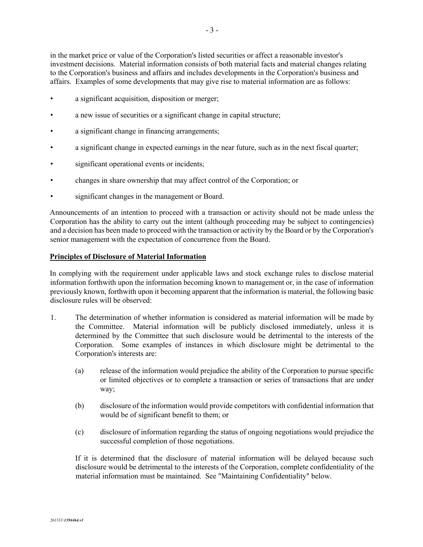in the market price or value of the Corporation's listed securities or affect a reasonable investor's investment decisions. Material information consists of both material facts and material changes relating to the Corporation's business and affairs and includes developments in the Corporation's business and affairs. Examples of some developments that may give rise to material information are as follows:

- a significant acquisition, disposition or merger;
- a new issue of securities or a significant change in capital structure;
- a significant change in financing arrangements;
- a significant change in expected earnings in the near future, such as in the next fiscal quarter;
- significant operational events or incidents;
- changes in share ownership that may affect control of the Corporation; or
- significant changes in the management or Board.

Announcements of an intention to proceed with a transaction or activity should not be made unless the Corporation has the ability to carry out the intent (although proceeding may be subject to contingencies) and a decision has been made to proceed with the transaction or activity by the Board or by the Corporation's senior management with the expectation of concurrence from the Board.

## **Principles of Disclosure of Material Information**

In complying with the requirement under applicable laws and stock exchange rules to disclose material information forthwith upon the information becoming known to management or, in the case of information previously known, forthwith upon it becoming apparent that the information is material, the following basic disclosure rules will be observed:

- 1. The determination of whether information is considered as material information will be made by the Committee. Material information will be publicly disclosed immediately, unless it is determined by the Committee that such disclosure would be detrimental to the interests of the Corporation. Some examples of instances in which disclosure might be detrimental to the Corporation's interests are:
	- (a) release of the information would prejudice the ability of the Corporation to pursue specific or limited objectives or to complete a transaction or series of transactions that are under way;
	- (b) disclosure of the information would provide competitors with confidential information that would be of significant benefit to them; or
	- (c) disclosure of information regarding the status of ongoing negotiations would prejudice the successful completion of those negotiations.

If it is determined that the disclosure of material information will be delayed because such disclosure would be detrimental to the interests of the Corporation, complete confidentiality of the material information must be maintained. See "Maintaining Confidentiality" below.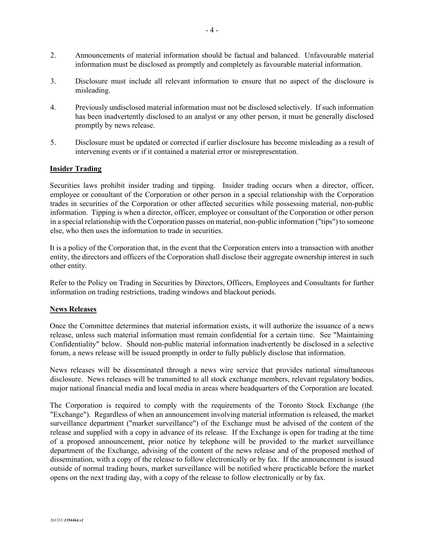- 2. Announcements of material information should be factual and balanced. Unfavourable material information must be disclosed as promptly and completely as favourable material information.
- 3. Disclosure must include all relevant information to ensure that no aspect of the disclosure is misleading.
- 4. Previously undisclosed material information must not be disclosed selectively. If such information has been inadvertently disclosed to an analyst or any other person, it must be generally disclosed promptly by news release.
- 5. Disclosure must be updated or corrected if earlier disclosure has become misleading as a result of intervening events or if it contained a material error or misrepresentation.

## **Insider Trading**

Securities laws prohibit insider trading and tipping. Insider trading occurs when a director, officer, employee or consultant of the Corporation or other person in a special relationship with the Corporation trades in securities of the Corporation or other affected securities while possessing material, non-public information. Tipping is when a director, officer, employee or consultant of the Corporation or other person in a special relationship with the Corporation passes on material, non-public information ("tips") to someone else, who then uses the information to trade in securities.

It is a policy of the Corporation that, in the event that the Corporation enters into a transaction with another entity, the directors and officers of the Corporation shall disclose their aggregate ownership interest in such other entity.

Refer to the Policy on Trading in Securities by Directors, Officers, Employees and Consultants for further information on trading restrictions, trading windows and blackout periods.

## **News Releases**

Once the Committee determines that material information exists, it will authorize the issuance of a news release, unless such material information must remain confidential for a certain time. See "Maintaining Confidentiality" below. Should non-public material information inadvertently be disclosed in a selective forum, a news release will be issued promptly in order to fully publicly disclose that information.

News releases will be disseminated through a news wire service that provides national simultaneous disclosure. News releases will be transmitted to all stock exchange members, relevant regulatory bodies, major national financial media and local media in areas where headquarters of the Corporation are located.

The Corporation is required to comply with the requirements of the Toronto Stock Exchange (the "Exchange"). Regardless of when an announcement involving material information is released, the market surveillance department ("market surveillance") of the Exchange must be advised of the content of the release and supplied with a copy in advance of its release. If the Exchange is open for trading at the time of a proposed announcement, prior notice by telephone will be provided to the market surveillance department of the Exchange, advising of the content of the news release and of the proposed method of dissemination, with a copy of the release to follow electronically or by fax. If the announcement is issued outside of normal trading hours, market surveillance will be notified where practicable before the market opens on the next trading day, with a copy of the release to follow electronically or by fax.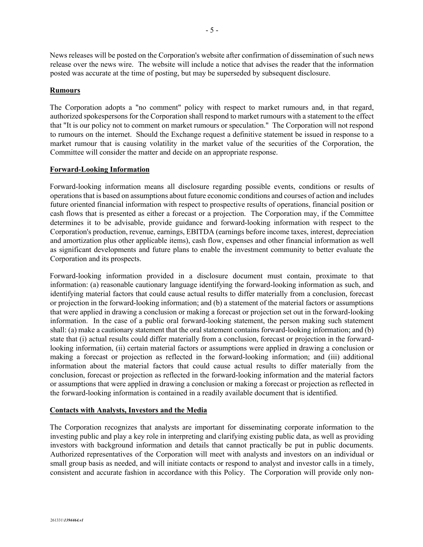News releases will be posted on the Corporation's website after confirmation of dissemination of such news release over the news wire. The website will include a notice that advises the reader that the information posted was accurate at the time of posting, but may be superseded by subsequent disclosure.

#### **Rumours**

The Corporation adopts a "no comment" policy with respect to market rumours and, in that regard, authorized spokespersons for the Corporation shall respond to market rumours with a statement to the effect that "It is our policy not to comment on market rumours or speculation." The Corporation will not respond to rumours on the internet. Should the Exchange request a definitive statement be issued in response to a market rumour that is causing volatility in the market value of the securities of the Corporation, the Committee will consider the matter and decide on an appropriate response.

#### **Forward-Looking Information**

Forward-looking information means all disclosure regarding possible events, conditions or results of operations that is based on assumptions about future economic conditions and courses of action and includes future oriented financial information with respect to prospective results of operations, financial position or cash flows that is presented as either a forecast or a projection. The Corporation may, if the Committee determines it to be advisable, provide guidance and forward-looking information with respect to the Corporation's production, revenue, earnings, EBITDA (earnings before income taxes, interest, depreciation and amortization plus other applicable items), cash flow, expenses and other financial information as well as significant developments and future plans to enable the investment community to better evaluate the Corporation and its prospects.

Forward-looking information provided in a disclosure document must contain, proximate to that information: (a) reasonable cautionary language identifying the forward-looking information as such, and identifying material factors that could cause actual results to differ materially from a conclusion, forecast or projection in the forward-looking information; and (b) a statement of the material factors or assumptions that were applied in drawing a conclusion or making a forecast or projection set out in the forward-looking information. In the case of a public oral forward-looking statement, the person making such statement shall: (a) make a cautionary statement that the oral statement contains forward-looking information; and (b) state that (i) actual results could differ materially from a conclusion, forecast or projection in the forwardlooking information, (ii) certain material factors or assumptions were applied in drawing a conclusion or making a forecast or projection as reflected in the forward-looking information; and (iii) additional information about the material factors that could cause actual results to differ materially from the conclusion, forecast or projection as reflected in the forward-looking information and the material factors or assumptions that were applied in drawing a conclusion or making a forecast or projection as reflected in the forward-looking information is contained in a readily available document that is identified.

#### **Contacts with Analysts, Investors and the Media**

The Corporation recognizes that analysts are important for disseminating corporate information to the investing public and play a key role in interpreting and clarifying existing public data, as well as providing investors with background information and details that cannot practically be put in public documents. Authorized representatives of the Corporation will meet with analysts and investors on an individual or small group basis as needed, and will initiate contacts or respond to analyst and investor calls in a timely, consistent and accurate fashion in accordance with this Policy. The Corporation will provide only non-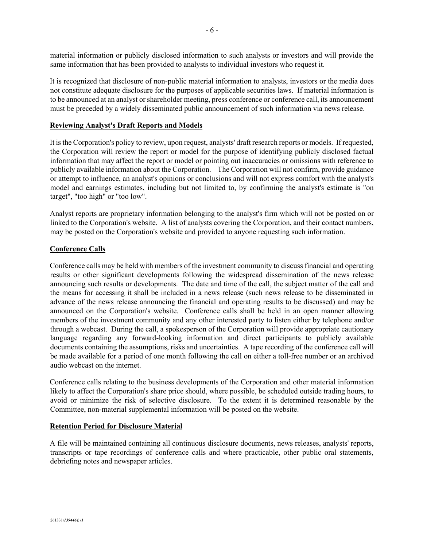material information or publicly disclosed information to such analysts or investors and will provide the same information that has been provided to analysts to individual investors who request it.

It is recognized that disclosure of non-public material information to analysts, investors or the media does not constitute adequate disclosure for the purposes of applicable securities laws. If material information is to be announced at an analyst or shareholder meeting, press conference or conference call, its announcement must be preceded by a widely disseminated public announcement of such information via news release.

## **Reviewing Analyst's Draft Reports and Models**

It is the Corporation's policy to review, upon request, analysts' draft research reports or models. If requested, the Corporation will review the report or model for the purpose of identifying publicly disclosed factual information that may affect the report or model or pointing out inaccuracies or omissions with reference to publicly available information about the Corporation. The Corporation will not confirm, provide guidance or attempt to influence, an analyst's opinions or conclusions and will not express comfort with the analyst's model and earnings estimates, including but not limited to, by confirming the analyst's estimate is "on target", "too high" or "too low".

Analyst reports are proprietary information belonging to the analyst's firm which will not be posted on or linked to the Corporation's website. A list of analysts covering the Corporation, and their contact numbers, may be posted on the Corporation's website and provided to anyone requesting such information.

#### **Conference Calls**

Conference calls may be held with members of the investment community to discuss financial and operating results or other significant developments following the widespread dissemination of the news release announcing such results or developments. The date and time of the call, the subject matter of the call and the means for accessing it shall be included in a news release (such news release to be disseminated in advance of the news release announcing the financial and operating results to be discussed) and may be announced on the Corporation's website. Conference calls shall be held in an open manner allowing members of the investment community and any other interested party to listen either by telephone and/or through a webcast. During the call, a spokesperson of the Corporation will provide appropriate cautionary language regarding any forward-looking information and direct participants to publicly available documents containing the assumptions, risks and uncertainties. A tape recording of the conference call will be made available for a period of one month following the call on either a toll-free number or an archived audio webcast on the internet.

Conference calls relating to the business developments of the Corporation and other material information likely to affect the Corporation's share price should, where possible, be scheduled outside trading hours, to avoid or minimize the risk of selective disclosure. To the extent it is determined reasonable by the Committee, non-material supplemental information will be posted on the website.

#### **Retention Period for Disclosure Material**

A file will be maintained containing all continuous disclosure documents, news releases, analysts' reports, transcripts or tape recordings of conference calls and where practicable, other public oral statements, debriefing notes and newspaper articles.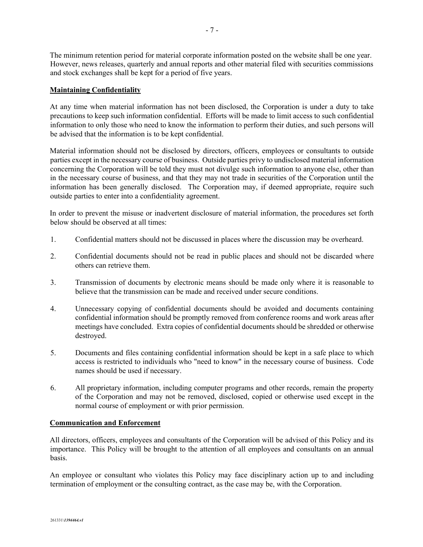The minimum retention period for material corporate information posted on the website shall be one year. However, news releases, quarterly and annual reports and other material filed with securities commissions and stock exchanges shall be kept for a period of five years.

#### **Maintaining Confidentiality**

At any time when material information has not been disclosed, the Corporation is under a duty to take precautions to keep such information confidential. Efforts will be made to limit access to such confidential information to only those who need to know the information to perform their duties, and such persons will be advised that the information is to be kept confidential.

Material information should not be disclosed by directors, officers, employees or consultants to outside parties except in the necessary course of business. Outside parties privy to undisclosed material information concerning the Corporation will be told they must not divulge such information to anyone else, other than in the necessary course of business, and that they may not trade in securities of the Corporation until the information has been generally disclosed. The Corporation may, if deemed appropriate, require such outside parties to enter into a confidentiality agreement.

In order to prevent the misuse or inadvertent disclosure of material information, the procedures set forth below should be observed at all times:

- 1. Confidential matters should not be discussed in places where the discussion may be overheard.
- 2. Confidential documents should not be read in public places and should not be discarded where others can retrieve them.
- 3. Transmission of documents by electronic means should be made only where it is reasonable to believe that the transmission can be made and received under secure conditions.
- 4. Unnecessary copying of confidential documents should be avoided and documents containing confidential information should be promptly removed from conference rooms and work areas after meetings have concluded. Extra copies of confidential documents should be shredded or otherwise destroyed.
- 5. Documents and files containing confidential information should be kept in a safe place to which access is restricted to individuals who "need to know" in the necessary course of business. Code names should be used if necessary.
- 6. All proprietary information, including computer programs and other records, remain the property of the Corporation and may not be removed, disclosed, copied or otherwise used except in the normal course of employment or with prior permission.

#### **Communication and Enforcement**

All directors, officers, employees and consultants of the Corporation will be advised of this Policy and its importance. This Policy will be brought to the attention of all employees and consultants on an annual basis.

An employee or consultant who violates this Policy may face disciplinary action up to and including termination of employment or the consulting contract, as the case may be, with the Corporation.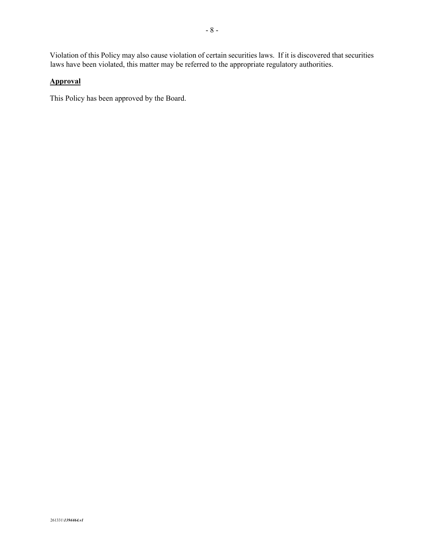# **Approval**

This Policy has been approved by the Board.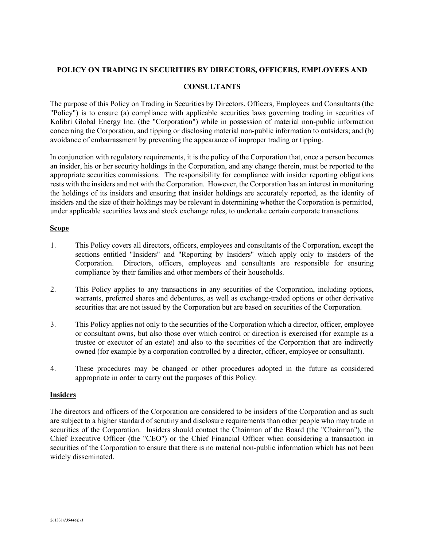## **POLICY ON TRADING IN SECURITIES BY DIRECTORS, OFFICERS, EMPLOYEES AND**

## **CONSULTANTS**

The purpose of this Policy on Trading in Securities by Directors, Officers, Employees and Consultants (the "Policy") is to ensure (a) compliance with applicable securities laws governing trading in securities of Kolibri Global Energy Inc. (the "Corporation") while in possession of material non-public information concerning the Corporation, and tipping or disclosing material non-public information to outsiders; and (b) avoidance of embarrassment by preventing the appearance of improper trading or tipping.

In conjunction with regulatory requirements, it is the policy of the Corporation that, once a person becomes an insider, his or her security holdings in the Corporation, and any change therein, must be reported to the appropriate securities commissions. The responsibility for compliance with insider reporting obligations rests with the insiders and not with the Corporation. However, the Corporation has an interest in monitoring the holdings of its insiders and ensuring that insider holdings are accurately reported, as the identity of insiders and the size of their holdings may be relevant in determining whether the Corporation is permitted, under applicable securities laws and stock exchange rules, to undertake certain corporate transactions.

### **Scope**

- 1. This Policy covers all directors, officers, employees and consultants of the Corporation, except the sections entitled "Insiders" and "Reporting by Insiders" which apply only to insiders of the Corporation. Directors, officers, employees and consultants are responsible for ensuring compliance by their families and other members of their households.
- 2. This Policy applies to any transactions in any securities of the Corporation, including options, warrants, preferred shares and debentures, as well as exchange-traded options or other derivative securities that are not issued by the Corporation but are based on securities of the Corporation.
- 3. This Policy applies not only to the securities of the Corporation which a director, officer, employee or consultant owns, but also those over which control or direction is exercised (for example as a trustee or executor of an estate) and also to the securities of the Corporation that are indirectly owned (for example by a corporation controlled by a director, officer, employee or consultant).
- 4. These procedures may be changed or other procedures adopted in the future as considered appropriate in order to carry out the purposes of this Policy.

## **Insiders**

The directors and officers of the Corporation are considered to be insiders of the Corporation and as such are subject to a higher standard of scrutiny and disclosure requirements than other people who may trade in securities of the Corporation. Insiders should contact the Chairman of the Board (the "Chairman"), the Chief Executive Officer (the "CEO") or the Chief Financial Officer when considering a transaction in securities of the Corporation to ensure that there is no material non-public information which has not been widely disseminated.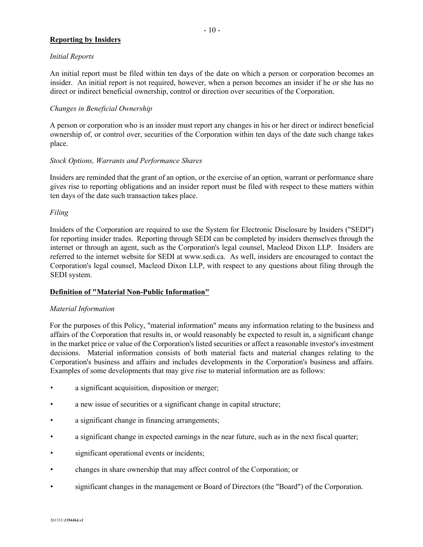## **Reporting by Insiders**

An initial report must be filed within ten days of the date on which a person or corporation becomes an insider. An initial report is not required, however, when a person becomes an insider if he or she has no direct or indirect beneficial ownership, control or direction over securities of the Corporation.

## *Changes in Beneficial Ownership*

A person or corporation who is an insider must report any changes in his or her direct or indirect beneficial ownership of, or control over, securities of the Corporation within ten days of the date such change takes place.

## *Stock Options, Warrants and Performance Shares*

Insiders are reminded that the grant of an option, or the exercise of an option, warrant or performance share gives rise to reporting obligations and an insider report must be filed with respect to these matters within ten days of the date such transaction takes place.

## *Filing*

Insiders of the Corporation are required to use the System for Electronic Disclosure by Insiders ("SEDI") for reporting insider trades. Reporting through SEDI can be completed by insiders themselves through the internet or through an agent, such as the Corporation's legal counsel, Macleod Dixon LLP. Insiders are referred to the internet website for SEDI at www.sedi.ca. As well, insiders are encouraged to contact the Corporation's legal counsel, Macleod Dixon LLP, with respect to any questions about filing through the SEDI system.

## **Definition of "Material Non-Public Information"**

## *Material Information*

For the purposes of this Policy, "material information" means any information relating to the business and affairs of the Corporation that results in, or would reasonably be expected to result in, a significant change in the market price or value of the Corporation's listed securities or affect a reasonable investor's investment decisions. Material information consists of both material facts and material changes relating to the Corporation's business and affairs and includes developments in the Corporation's business and affairs. Examples of some developments that may give rise to material information are as follows:

- a significant acquisition, disposition or merger;
- a new issue of securities or a significant change in capital structure;
- a significant change in financing arrangements;
- a significant change in expected earnings in the near future, such as in the next fiscal quarter;
- significant operational events or incidents;
- changes in share ownership that may affect control of the Corporation; or
- significant changes in the management or Board of Directors (the "Board") of the Corporation.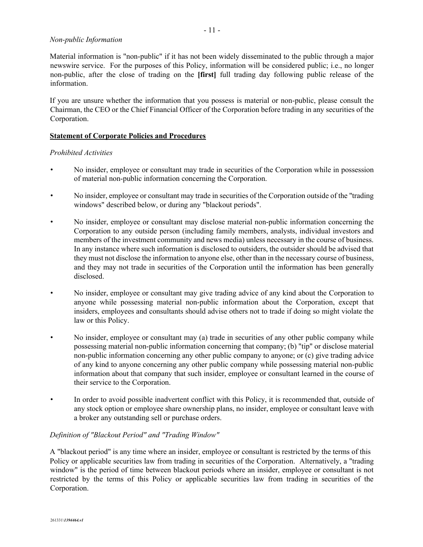#### *Non-public Information*

Material information is "non-public" if it has not been widely disseminated to the public through a major newswire service. For the purposes of this Policy, information will be considered public; i.e., no longer non-public, after the close of trading on the **[first]** full trading day following public release of the information.

If you are unsure whether the information that you possess is material or non-public, please consult the Chairman, the CEO or the Chief Financial Officer of the Corporation before trading in any securities of the Corporation.

#### **Statement of Corporate Policies and Procedures**

## *Prohibited Activities*

- No insider, employee or consultant may trade in securities of the Corporation while in possession of material non-public information concerning the Corporation.
- No insider, employee or consultant may trade in securities of the Corporation outside of the "trading windows" described below, or during any "blackout periods".
- No insider, employee or consultant may disclose material non-public information concerning the Corporation to any outside person (including family members, analysts, individual investors and members of the investment community and news media) unless necessary in the course of business. In any instance where such information is disclosed to outsiders, the outsider should be advised that they must not disclose the information to anyone else, other than in the necessary course of business, and they may not trade in securities of the Corporation until the information has been generally disclosed.
- No insider, employee or consultant may give trading advice of any kind about the Corporation to anyone while possessing material non-public information about the Corporation, except that insiders, employees and consultants should advise others not to trade if doing so might violate the law or this Policy.
- No insider, employee or consultant may (a) trade in securities of any other public company while possessing material non-public information concerning that company; (b) "tip" or disclose material non-public information concerning any other public company to anyone; or (c) give trading advice of any kind to anyone concerning any other public company while possessing material non-public information about that company that such insider, employee or consultant learned in the course of their service to the Corporation.
- In order to avoid possible inadvertent conflict with this Policy, it is recommended that, outside of any stock option or employee share ownership plans, no insider, employee or consultant leave with a broker any outstanding sell or purchase orders.

## *Definition of "Blackout Period" and "Trading Window"*

A "blackout period" is any time where an insider, employee or consultant is restricted by the terms of this Policy or applicable securities law from trading in securities of the Corporation. Alternatively, a "trading window" is the period of time between blackout periods where an insider, employee or consultant is not restricted by the terms of this Policy or applicable securities law from trading in securities of the Corporation.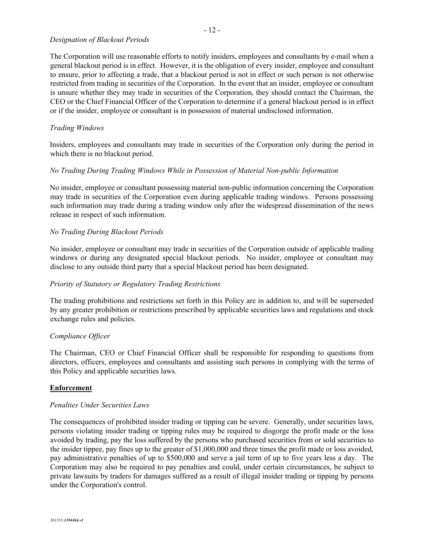#### *Designation of Blackout Periods*

The Corporation will use reasonable efforts to notify insiders, employees and consultants by e-mail when a general blackout period is in effect. However, it is the obligation of every insider, employee and consultant to ensure, prior to affecting a trade, that a blackout period is not in effect or such person is not otherwise restricted from trading in securities of the Corporation. In the event that an insider, employee or consultant is unsure whether they may trade in securities of the Corporation, they should contact the Chairman, the CEO or the Chief Financial Officer of the Corporation to determine if a general blackout period is in effect or if the insider, employee or consultant is in possession of material undisclosed information.

#### *Trading Windows*

Insiders, employees and consultants may trade in securities of the Corporation only during the period in which there is no blackout period.

#### *No Trading During Trading Windows While in Possession of Material Non-public Information*

No insider, employee or consultant possessing material non-public information concerning the Corporation may trade in securities of the Corporation even during applicable trading windows. Persons possessing such information may trade during a trading window only after the widespread dissemination of the news release in respect of such information.

#### *No Trading During Blackout Periods*

No insider, employee or consultant may trade in securities of the Corporation outside of applicable trading windows or during any designated special blackout periods. No insider, employee or consultant may disclose to any outside third party that a special blackout period has been designated.

#### *Priority of Statutory or Regulatory Trading Restrictions*

The trading prohibitions and restrictions set forth in this Policy are in addition to, and will be superseded by any greater prohibition or restrictions prescribed by applicable securities laws and regulations and stock exchange rules and policies.

#### *Compliance Officer*

The Chairman, CEO or Chief Financial Officer shall be responsible for responding to questions from directors, officers, employees and consultants and assisting such persons in complying with the terms of this Policy and applicable securities laws.

#### **Enforcement**

#### *Penalties Under Securities Laws*

The consequences of prohibited insider trading or tipping can be severe. Generally, under securities laws, persons violating insider trading or tipping rules may be required to disgorge the profit made or the loss avoided by trading, pay the loss suffered by the persons who purchased securities from or sold securities to the insider tippee, pay fines up to the greater of \$1,000,000 and three times the profit made or loss avoided, pay administrative penalties of up to \$500,000 and serve a jail term of up to five years less a day. The Corporation may also be required to pay penalties and could, under certain circumstances, be subject to private lawsuits by traders for damages suffered as a result of illegal insider trading or tipping by persons under the Corporation's control.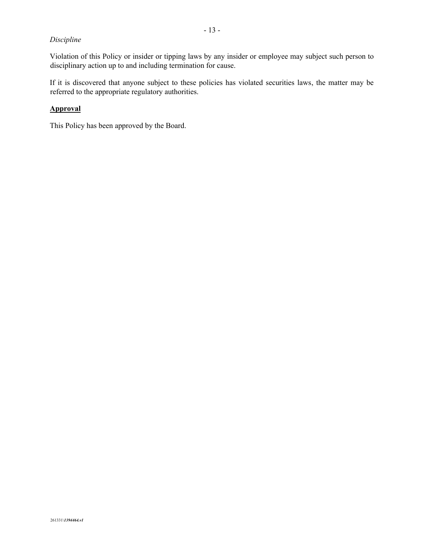## *Discipline*

Violation of this Policy or insider or tipping laws by any insider or employee may subject such person to disciplinary action up to and including termination for cause.

If it is discovered that anyone subject to these policies has violated securities laws, the matter may be referred to the appropriate regulatory authorities.

## **Approval**

This Policy has been approved by the Board.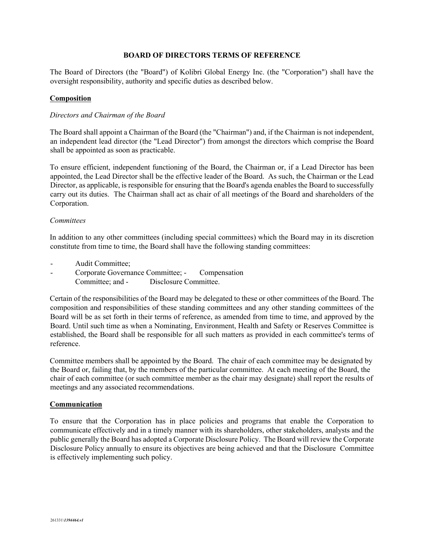## **BOARD OF DIRECTORS TERMS OF REFERENCE**

The Board of Directors (the "Board") of Kolibri Global Energy Inc. (the "Corporation") shall have the oversight responsibility, authority and specific duties as described below.

#### **Composition**

#### *Directors and Chairman of the Board*

The Board shall appoint a Chairman of the Board (the "Chairman") and, if the Chairman is not independent, an independent lead director (the "Lead Director") from amongst the directors which comprise the Board shall be appointed as soon as practicable.

To ensure efficient, independent functioning of the Board, the Chairman or, if a Lead Director has been appointed, the Lead Director shall be the effective leader of the Board. As such, the Chairman or the Lead Director, as applicable, is responsible for ensuring that the Board's agenda enables the Board to successfully carry out its duties. The Chairman shall act as chair of all meetings of the Board and shareholders of the Corporation.

#### *Committees*

In addition to any other committees (including special committees) which the Board may in its discretion constitute from time to time, the Board shall have the following standing committees:

- Audit Committee;
- Corporate Governance Committee; Compensation Committee; and - Disclosure Committee.

Certain of the responsibilities of the Board may be delegated to these or other committees of the Board. The composition and responsibilities of these standing committees and any other standing committees of the Board will be as set forth in their terms of reference, as amended from time to time, and approved by the Board. Until such time as when a Nominating, Environment, Health and Safety or Reserves Committee is established, the Board shall be responsible for all such matters as provided in each committee's terms of reference.

Committee members shall be appointed by the Board. The chair of each committee may be designated by the Board or, failing that, by the members of the particular committee. At each meeting of the Board, the chair of each committee (or such committee member as the chair may designate) shall report the results of meetings and any associated recommendations.

#### **Communication**

To ensure that the Corporation has in place policies and programs that enable the Corporation to communicate effectively and in a timely manner with its shareholders, other stakeholders, analysts and the public generally the Board has adopted a Corporate Disclosure Policy. The Board will review the Corporate Disclosure Policy annually to ensure its objectives are being achieved and that the Disclosure Committee is effectively implementing such policy.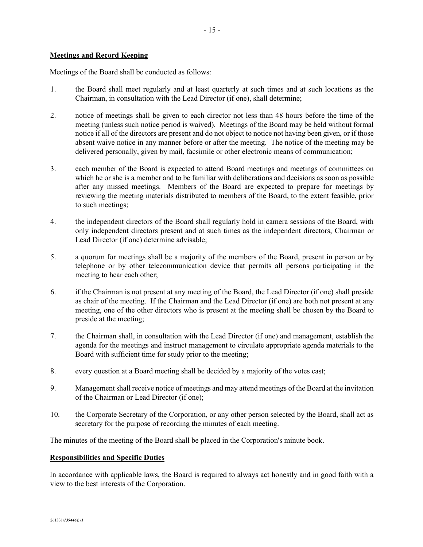## **Meetings and Record Keeping**

Meetings of the Board shall be conducted as follows:

- 1. the Board shall meet regularly and at least quarterly at such times and at such locations as the Chairman, in consultation with the Lead Director (if one), shall determine;
- 2. notice of meetings shall be given to each director not less than 48 hours before the time of the meeting (unless such notice period is waived). Meetings of the Board may be held without formal notice if all of the directors are present and do not object to notice not having been given, or if those absent waive notice in any manner before or after the meeting. The notice of the meeting may be delivered personally, given by mail, facsimile or other electronic means of communication;
- 3. each member of the Board is expected to attend Board meetings and meetings of committees on which he or she is a member and to be familiar with deliberations and decisions as soon as possible after any missed meetings. Members of the Board are expected to prepare for meetings by reviewing the meeting materials distributed to members of the Board, to the extent feasible, prior to such meetings;
- 4. the independent directors of the Board shall regularly hold in camera sessions of the Board, with only independent directors present and at such times as the independent directors, Chairman or Lead Director (if one) determine advisable;
- 5. a quorum for meetings shall be a majority of the members of the Board, present in person or by telephone or by other telecommunication device that permits all persons participating in the meeting to hear each other;
- 6. if the Chairman is not present at any meeting of the Board, the Lead Director (if one) shall preside as chair of the meeting. If the Chairman and the Lead Director (if one) are both not present at any meeting, one of the other directors who is present at the meeting shall be chosen by the Board to preside at the meeting;
- 7. the Chairman shall, in consultation with the Lead Director (if one) and management, establish the agenda for the meetings and instruct management to circulate appropriate agenda materials to the Board with sufficient time for study prior to the meeting;
- 8. every question at a Board meeting shall be decided by a majority of the votes cast;
- 9. Management shall receive notice of meetings and may attend meetings of the Board at the invitation of the Chairman or Lead Director (if one);
- 10. the Corporate Secretary of the Corporation, or any other person selected by the Board, shall act as secretary for the purpose of recording the minutes of each meeting.

The minutes of the meeting of the Board shall be placed in the Corporation's minute book.

#### **Responsibilities and Specific Duties**

In accordance with applicable laws, the Board is required to always act honestly and in good faith with a view to the best interests of the Corporation.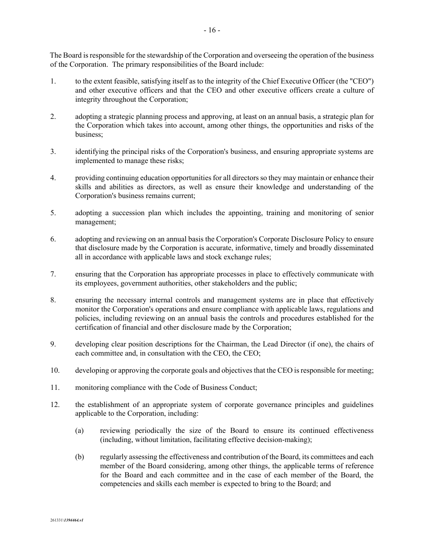The Board is responsible for the stewardship of the Corporation and overseeing the operation of the business of the Corporation. The primary responsibilities of the Board include:

- 1. to the extent feasible, satisfying itself as to the integrity of the Chief Executive Officer (the "CEO") and other executive officers and that the CEO and other executive officers create a culture of integrity throughout the Corporation;
- 2. adopting a strategic planning process and approving, at least on an annual basis, a strategic plan for the Corporation which takes into account, among other things, the opportunities and risks of the business;
- 3. identifying the principal risks of the Corporation's business, and ensuring appropriate systems are implemented to manage these risks;
- 4. providing continuing education opportunities for all directors so they may maintain or enhance their skills and abilities as directors, as well as ensure their knowledge and understanding of the Corporation's business remains current;
- 5. adopting a succession plan which includes the appointing, training and monitoring of senior management;
- 6. adopting and reviewing on an annual basis the Corporation's Corporate Disclosure Policy to ensure that disclosure made by the Corporation is accurate, informative, timely and broadly disseminated all in accordance with applicable laws and stock exchange rules;
- 7. ensuring that the Corporation has appropriate processes in place to effectively communicate with its employees, government authorities, other stakeholders and the public;
- 8. ensuring the necessary internal controls and management systems are in place that effectively monitor the Corporation's operations and ensure compliance with applicable laws, regulations and policies, including reviewing on an annual basis the controls and procedures established for the certification of financial and other disclosure made by the Corporation;
- 9. developing clear position descriptions for the Chairman, the Lead Director (if one), the chairs of each committee and, in consultation with the CEO, the CEO;
- 10. developing or approving the corporate goals and objectives that the CEO is responsible for meeting;
- 11. monitoring compliance with the Code of Business Conduct;
- 12. the establishment of an appropriate system of corporate governance principles and guidelines applicable to the Corporation, including:
	- (a) reviewing periodically the size of the Board to ensure its continued effectiveness (including, without limitation, facilitating effective decision-making);
	- (b) regularly assessing the effectiveness and contribution of the Board, its committees and each member of the Board considering, among other things, the applicable terms of reference for the Board and each committee and in the case of each member of the Board, the competencies and skills each member is expected to bring to the Board; and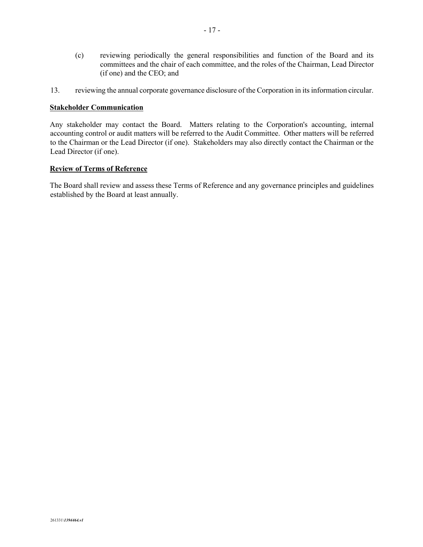- (c) reviewing periodically the general responsibilities and function of the Board and its committees and the chair of each committee, and the roles of the Chairman, Lead Director (if one) and the CEO; and
- 13. reviewing the annual corporate governance disclosure of the Corporation in its information circular.

#### **Stakeholder Communication**

Any stakeholder may contact the Board. Matters relating to the Corporation's accounting, internal accounting control or audit matters will be referred to the Audit Committee. Other matters will be referred to the Chairman or the Lead Director (if one). Stakeholders may also directly contact the Chairman or the Lead Director (if one).

### **Review of Terms of Reference**

The Board shall review and assess these Terms of Reference and any governance principles and guidelines established by the Board at least annually.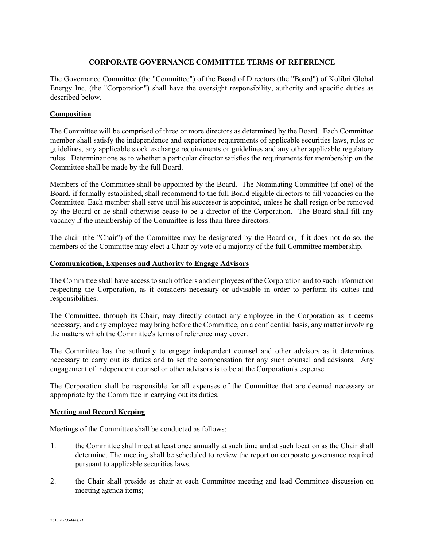## **CORPORATE GOVERNANCE COMMITTEE TERMS OF REFERENCE**

The Governance Committee (the "Committee") of the Board of Directors (the "Board") of Kolibri Global Energy Inc. (the "Corporation") shall have the oversight responsibility, authority and specific duties as described below.

## **Composition**

The Committee will be comprised of three or more directors as determined by the Board. Each Committee member shall satisfy the independence and experience requirements of applicable securities laws, rules or guidelines, any applicable stock exchange requirements or guidelines and any other applicable regulatory rules. Determinations as to whether a particular director satisfies the requirements for membership on the Committee shall be made by the full Board.

Members of the Committee shall be appointed by the Board. The Nominating Committee (if one) of the Board, if formally established, shall recommend to the full Board eligible directors to fill vacancies on the Committee. Each member shall serve until his successor is appointed, unless he shall resign or be removed by the Board or he shall otherwise cease to be a director of the Corporation. The Board shall fill any vacancy if the membership of the Committee is less than three directors.

The chair (the "Chair") of the Committee may be designated by the Board or, if it does not do so, the members of the Committee may elect a Chair by vote of a majority of the full Committee membership.

## **Communication, Expenses and Authority to Engage Advisors**

The Committee shall have access to such officers and employees of the Corporation and to such information respecting the Corporation, as it considers necessary or advisable in order to perform its duties and responsibilities.

The Committee, through its Chair, may directly contact any employee in the Corporation as it deems necessary, and any employee may bring before the Committee, on a confidential basis, any matter involving the matters which the Committee's terms of reference may cover.

The Committee has the authority to engage independent counsel and other advisors as it determines necessary to carry out its duties and to set the compensation for any such counsel and advisors. Any engagement of independent counsel or other advisors is to be at the Corporation's expense.

The Corporation shall be responsible for all expenses of the Committee that are deemed necessary or appropriate by the Committee in carrying out its duties.

## **Meeting and Record Keeping**

Meetings of the Committee shall be conducted as follows:

- 1. the Committee shall meet at least once annually at such time and at such location as the Chair shall determine. The meeting shall be scheduled to review the report on corporate governance required pursuant to applicable securities laws.
- 2. the Chair shall preside as chair at each Committee meeting and lead Committee discussion on meeting agenda items;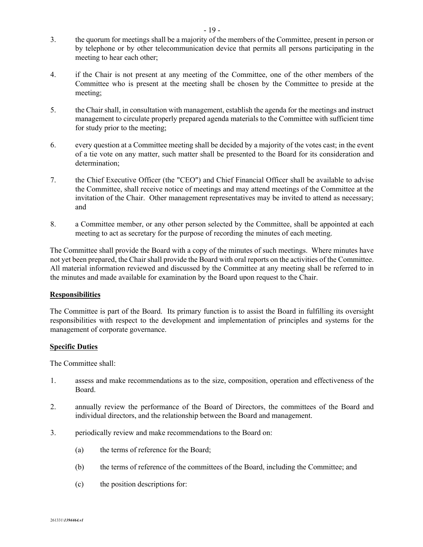- 3. the quorum for meetings shall be a majority of the members of the Committee, present in person or by telephone or by other telecommunication device that permits all persons participating in the meeting to hear each other;
- 4. if the Chair is not present at any meeting of the Committee, one of the other members of the Committee who is present at the meeting shall be chosen by the Committee to preside at the meeting;
- 5. the Chair shall, in consultation with management, establish the agenda for the meetings and instruct management to circulate properly prepared agenda materials to the Committee with sufficient time for study prior to the meeting;
- 6. every question at a Committee meeting shall be decided by a majority of the votes cast; in the event of a tie vote on any matter, such matter shall be presented to the Board for its consideration and determination;
- 7. the Chief Executive Officer (the "CEO") and Chief Financial Officer shall be available to advise the Committee, shall receive notice of meetings and may attend meetings of the Committee at the invitation of the Chair. Other management representatives may be invited to attend as necessary; and
- 8. a Committee member, or any other person selected by the Committee, shall be appointed at each meeting to act as secretary for the purpose of recording the minutes of each meeting.

The Committee shall provide the Board with a copy of the minutes of such meetings. Where minutes have not yet been prepared, the Chair shall provide the Board with oral reports on the activities of the Committee. All material information reviewed and discussed by the Committee at any meeting shall be referred to in the minutes and made available for examination by the Board upon request to the Chair.

# **Responsibilities**

The Committee is part of the Board. Its primary function is to assist the Board in fulfilling its oversight responsibilities with respect to the development and implementation of principles and systems for the management of corporate governance.

## **Specific Duties**

The Committee shall:

- 1. assess and make recommendations as to the size, composition, operation and effectiveness of the Board.
- 2. annually review the performance of the Board of Directors, the committees of the Board and individual directors, and the relationship between the Board and management.
- 3. periodically review and make recommendations to the Board on:
	- (a) the terms of reference for the Board;
	- (b) the terms of reference of the committees of the Board, including the Committee; and
	- (c) the position descriptions for: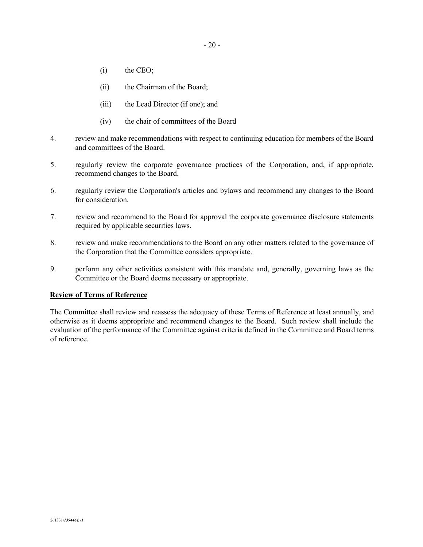- 
- (i) the CEO;
- (ii) the Chairman of the Board;
- (iii) the Lead Director (if one); and
- (iv) the chair of committees of the Board
- 4. review and make recommendations with respect to continuing education for members of the Board and committees of the Board.
- 5. regularly review the corporate governance practices of the Corporation, and, if appropriate, recommend changes to the Board.
- 6. regularly review the Corporation's articles and bylaws and recommend any changes to the Board for consideration.
- 7. review and recommend to the Board for approval the corporate governance disclosure statements required by applicable securities laws.
- 8. review and make recommendations to the Board on any other matters related to the governance of the Corporation that the Committee considers appropriate.
- 9. perform any other activities consistent with this mandate and, generally, governing laws as the Committee or the Board deems necessary or appropriate.

# **Review of Terms of Reference**

The Committee shall review and reassess the adequacy of these Terms of Reference at least annually, and otherwise as it deems appropriate and recommend changes to the Board. Such review shall include the evaluation of the performance of the Committee against criteria defined in the Committee and Board terms of reference.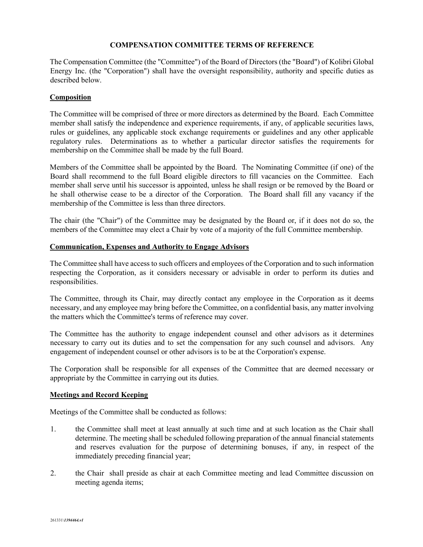## **COMPENSATION COMMITTEE TERMS OF REFERENCE**

The Compensation Committee (the "Committee") of the Board of Directors (the "Board") of Kolibri Global Energy Inc. (the "Corporation") shall have the oversight responsibility, authority and specific duties as described below.

#### **Composition**

The Committee will be comprised of three or more directors as determined by the Board. Each Committee member shall satisfy the independence and experience requirements, if any, of applicable securities laws, rules or guidelines, any applicable stock exchange requirements or guidelines and any other applicable regulatory rules. Determinations as to whether a particular director satisfies the requirements for membership on the Committee shall be made by the full Board.

Members of the Committee shall be appointed by the Board. The Nominating Committee (if one) of the Board shall recommend to the full Board eligible directors to fill vacancies on the Committee. Each member shall serve until his successor is appointed, unless he shall resign or be removed by the Board or he shall otherwise cease to be a director of the Corporation. The Board shall fill any vacancy if the membership of the Committee is less than three directors.

The chair (the "Chair") of the Committee may be designated by the Board or, if it does not do so, the members of the Committee may elect a Chair by vote of a majority of the full Committee membership.

## **Communication, Expenses and Authority to Engage Advisors**

The Committee shall have access to such officers and employees of the Corporation and to such information respecting the Corporation, as it considers necessary or advisable in order to perform its duties and responsibilities.

The Committee, through its Chair, may directly contact any employee in the Corporation as it deems necessary, and any employee may bring before the Committee, on a confidential basis, any matter involving the matters which the Committee's terms of reference may cover.

The Committee has the authority to engage independent counsel and other advisors as it determines necessary to carry out its duties and to set the compensation for any such counsel and advisors. Any engagement of independent counsel or other advisors is to be at the Corporation's expense.

The Corporation shall be responsible for all expenses of the Committee that are deemed necessary or appropriate by the Committee in carrying out its duties.

#### **Meetings and Record Keeping**

Meetings of the Committee shall be conducted as follows:

- 1. the Committee shall meet at least annually at such time and at such location as the Chair shall determine. The meeting shall be scheduled following preparation of the annual financial statements and reserves evaluation for the purpose of determining bonuses, if any, in respect of the immediately preceding financial year;
- 2. the Chair shall preside as chair at each Committee meeting and lead Committee discussion on meeting agenda items;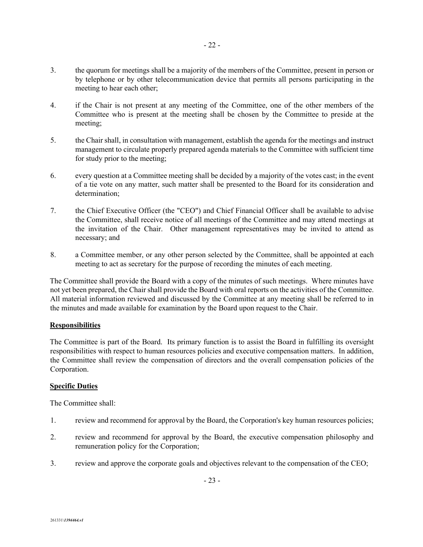- 3. the quorum for meetings shall be a majority of the members of the Committee, present in person or by telephone or by other telecommunication device that permits all persons participating in the meeting to hear each other;
- 4. if the Chair is not present at any meeting of the Committee, one of the other members of the Committee who is present at the meeting shall be chosen by the Committee to preside at the meeting;
- 5. the Chair shall, in consultation with management, establish the agenda for the meetings and instruct management to circulate properly prepared agenda materials to the Committee with sufficient time for study prior to the meeting;
- 6. every question at a Committee meeting shall be decided by a majority of the votes cast; in the event of a tie vote on any matter, such matter shall be presented to the Board for its consideration and determination;
- 7. the Chief Executive Officer (the "CEO") and Chief Financial Officer shall be available to advise the Committee, shall receive notice of all meetings of the Committee and may attend meetings at the invitation of the Chair. Other management representatives may be invited to attend as necessary; and
- 8. a Committee member, or any other person selected by the Committee, shall be appointed at each meeting to act as secretary for the purpose of recording the minutes of each meeting.

The Committee shall provide the Board with a copy of the minutes of such meetings. Where minutes have not yet been prepared, the Chair shall provide the Board with oral reports on the activities of the Committee. All material information reviewed and discussed by the Committee at any meeting shall be referred to in the minutes and made available for examination by the Board upon request to the Chair.

# **Responsibilities**

The Committee is part of the Board. Its primary function is to assist the Board in fulfilling its oversight responsibilities with respect to human resources policies and executive compensation matters. In addition, the Committee shall review the compensation of directors and the overall compensation policies of the Corporation.

# **Specific Duties**

The Committee shall:

- 1. review and recommend for approval by the Board, the Corporation's key human resources policies;
- 2. review and recommend for approval by the Board, the executive compensation philosophy and remuneration policy for the Corporation;
- 3. review and approve the corporate goals and objectives relevant to the compensation of the CEO;

- 23 -

- 22 -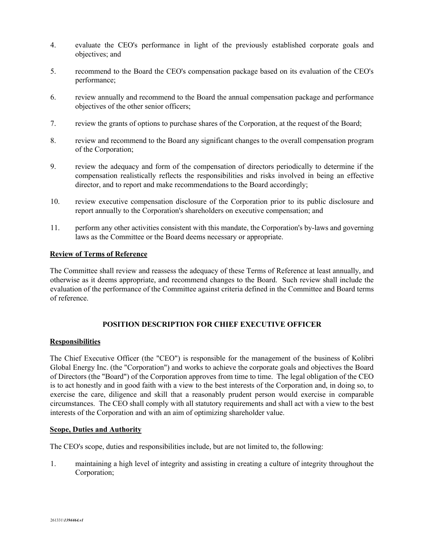- 4. evaluate the CEO's performance in light of the previously established corporate goals and objectives; and
- 5. recommend to the Board the CEO's compensation package based on its evaluation of the CEO's performance;
- 6. review annually and recommend to the Board the annual compensation package and performance objectives of the other senior officers;
- 7. review the grants of options to purchase shares of the Corporation, at the request of the Board;
- 8. review and recommend to the Board any significant changes to the overall compensation program of the Corporation;
- 9. review the adequacy and form of the compensation of directors periodically to determine if the compensation realistically reflects the responsibilities and risks involved in being an effective director, and to report and make recommendations to the Board accordingly;
- 10. review executive compensation disclosure of the Corporation prior to its public disclosure and report annually to the Corporation's shareholders on executive compensation; and
- 11. perform any other activities consistent with this mandate, the Corporation's by-laws and governing laws as the Committee or the Board deems necessary or appropriate.

## **Review of Terms of Reference**

The Committee shall review and reassess the adequacy of these Terms of Reference at least annually, and otherwise as it deems appropriate, and recommend changes to the Board. Such review shall include the evaluation of the performance of the Committee against criteria defined in the Committee and Board terms of reference.

# **POSITION DESCRIPTION FOR CHIEF EXECUTIVE OFFICER**

## **Responsibilities**

The Chief Executive Officer (the "CEO") is responsible for the management of the business of Kolibri Global Energy Inc. (the "Corporation") and works to achieve the corporate goals and objectives the Board of Directors (the "Board") of the Corporation approves from time to time. The legal obligation of the CEO is to act honestly and in good faith with a view to the best interests of the Corporation and, in doing so, to exercise the care, diligence and skill that a reasonably prudent person would exercise in comparable circumstances. The CEO shall comply with all statutory requirements and shall act with a view to the best interests of the Corporation and with an aim of optimizing shareholder value.

## **Scope, Duties and Authority**

The CEO's scope, duties and responsibilities include, but are not limited to, the following:

1. maintaining a high level of integrity and assisting in creating a culture of integrity throughout the Corporation;